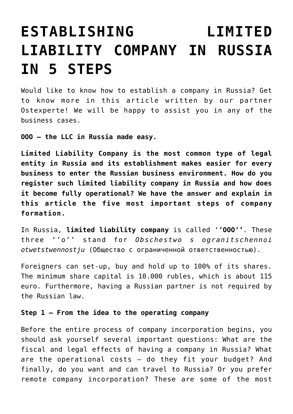# **[ESTABLISHING LIMITED](https://rufil-consulting.com/rufil-consulting.com/news/establishing-limited-liability-company-in-russia-in-5-steps/) [LIABILITY COMPANY IN RUSSIA](https://rufil-consulting.com/rufil-consulting.com/news/establishing-limited-liability-company-in-russia-in-5-steps/) [IN 5 STEPS](https://rufil-consulting.com/rufil-consulting.com/news/establishing-limited-liability-company-in-russia-in-5-steps/)**

Would like to know how to establish a company in Russia? Get to know more in this article written by our partner Ostexperte! We will be happy to assist you in any of the business cases.

**OOO – the LLC in Russia made easy.**

**Limited Liability Company is the most common type of legal entity in Russia and its establishment makes easier for every business to enter the Russian business environment. How do you register such limited liability company in Russia and how does it become fully operational? We have the answer and explain in this article the five most important steps of company formation.**

In Russia, **limited liability company** is called '**'OOO''**. These three ''o'' stand for *Obschestwo s ogranitschennoi otwetstwennostju* (Общество с ограниченной ответственностью).

Foreigners can set-up, buy and hold up to 100% of its shares. The minimum share capital is 10.000 rubles, which is about 115 euro. Furthermore, having a Russian partner is not required by the Russian law.

# **Step 1 – From the idea to the operating company**

Before the entire process of company incorporation begins, you should ask yourself several important questions: What are the fiscal and legal effects of having a company in Russia? What are the operational costs – do they fit your budget? And finally, do you want and can travel to Russia? Or you prefer remote company incorporation? These are some of the most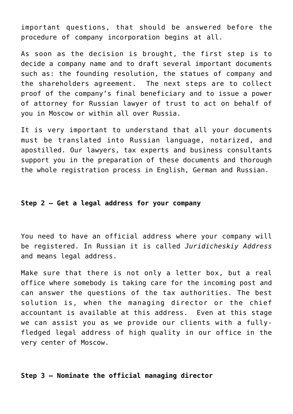important questions, that should be answered before the procedure of company incorporation begins at all.

As soon as the decision is brought, the first step is to decide a company name and to draft several important documents such as: the founding resolution, the statues of company and the shareholders agreement. The next steps are to collect proof of the company's final beneficiary and to issue a power of attorney for Russian lawyer of trust to act on behalf of you in Moscow or within all over Russia.

It is very important to understand that all your documents must be translated into Russian language, notarized, and apostilled. Our lawyers, tax experts and business consultants support you in the preparation of these documents and thorough the whole registration process in English, German and Russian.

## **Step 2 – Get a legal address for your company**

You need to have an official address where your company will be registered. In Russian it is called *Juridicheskiy Address* and means legal address.

Make sure that there is not only a letter box, but a real office where somebody is taking care for the incoming post and can answer the questions of the tax authorities. The best solution is, when the managing director or the chief accountant is available at this address. Even at this stage we can assist you as we provide our clients with a fullyfledged legal address of high quality in our office in the very center of Moscow.

# **Step 3 – Nominate the official managing director**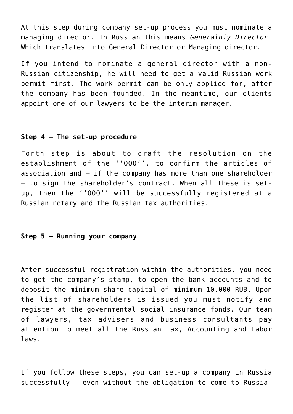At this step during company set-up process you must nominate a managing director. In Russian this means *Generalniy Director*. Which translates into General Director or Managing director.

If you intend to nominate a general director with a non-Russian citizenship, he will need to get a valid Russian work permit first. The work permit can be only applied for, after the company has been founded. In the meantime, our clients appoint one of our lawyers to be the interim manager.

#### **Step 4 – The set-up procedure**

Forth step is about to draft the resolution on the establishment of the ''OOO'', to confirm the articles of association and – if the company has more than one shareholder – to sign the shareholder's contract. When all these is setup, then the ''OOO'' will be successfully registered at a Russian notary and the Russian tax authorities.

## **Step 5 – Running your company**

After successful registration within the authorities, you need to get the company's stamp, to open the bank accounts and to deposit the minimum share capital of minimum 10.000 RUB. Upon the list of shareholders is issued you must notify and register at the governmental social insurance fonds. Our team of lawyers, tax advisers and business consultants pay attention to meet all the Russian Tax, Accounting and Labor laws.

If you follow these steps, you can set-up a company in Russia successfully – even without the obligation to come to Russia.